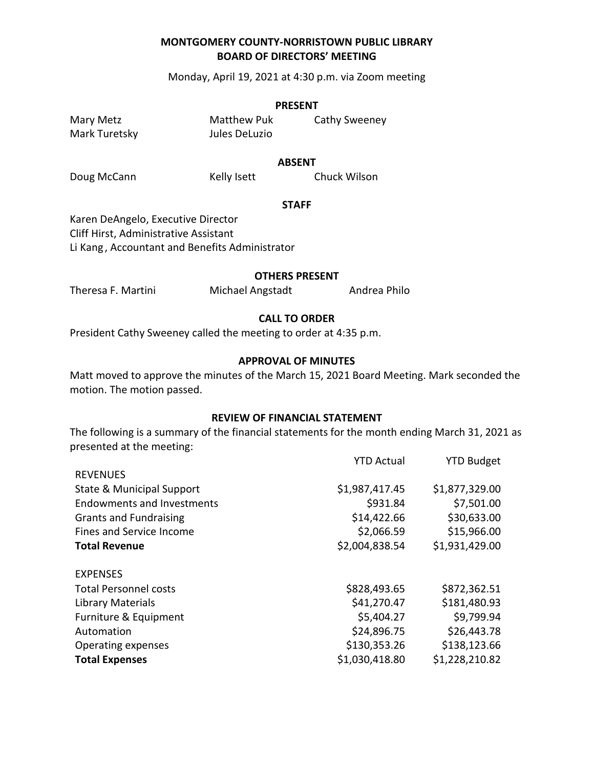Monday, April 19, 2021 at 4:30 p.m. via Zoom meeting

#### **PRESENT**

Mark Turetsky Jules DeLuzio

Mary Metz **Matthew Puk** Cathy Sweeney

**ABSENT**

Doug McCann Kelly Isett Chuck Wilson

#### **STAFF**

Karen DeAngelo, Executive Director Cliff Hirst, Administrative Assistant Li Kang , Accountant and Benefits Administrator

#### **OTHERS PRESENT**

Theresa F. Martini Michael Angstadt Andrea Philo

#### **CALL TO ORDER**

President Cathy Sweeney called the meeting to order at 4:35 p.m.

#### **APPROVAL OF MINUTES**

Matt moved to approve the minutes of the March 15, 2021 Board Meeting. Mark seconded the motion. The motion passed.

#### **REVIEW OF FINANCIAL STATEMENT**

The following is a summary of the financial statements for the month ending March 31, 2021 as presented at the meeting:

|                                   | <b>YTD Actual</b> | <b>YTD Budget</b> |
|-----------------------------------|-------------------|-------------------|
| <b>REVENUES</b>                   |                   |                   |
| State & Municipal Support         | \$1,987,417.45    | \$1,877,329.00    |
| <b>Endowments and Investments</b> | \$931.84          | \$7,501.00        |
| <b>Grants and Fundraising</b>     | \$14,422.66       | \$30,633.00       |
| Fines and Service Income          | \$2,066.59        | \$15,966.00       |
| <b>Total Revenue</b>              | \$2,004,838.54    | \$1,931,429.00    |
| <b>EXPENSES</b>                   |                   |                   |
| <b>Total Personnel costs</b>      | \$828,493.65      | \$872,362.51      |
| <b>Library Materials</b>          | \$41,270.47       | \$181,480.93      |
| Furniture & Equipment             | \$5,404.27        | \$9,799.94        |
| Automation                        | \$24,896.75       | \$26,443.78       |
| Operating expenses                | \$130,353.26      | \$138,123.66      |
| <b>Total Expenses</b>             | \$1,030,418.80    | \$1,228,210.82    |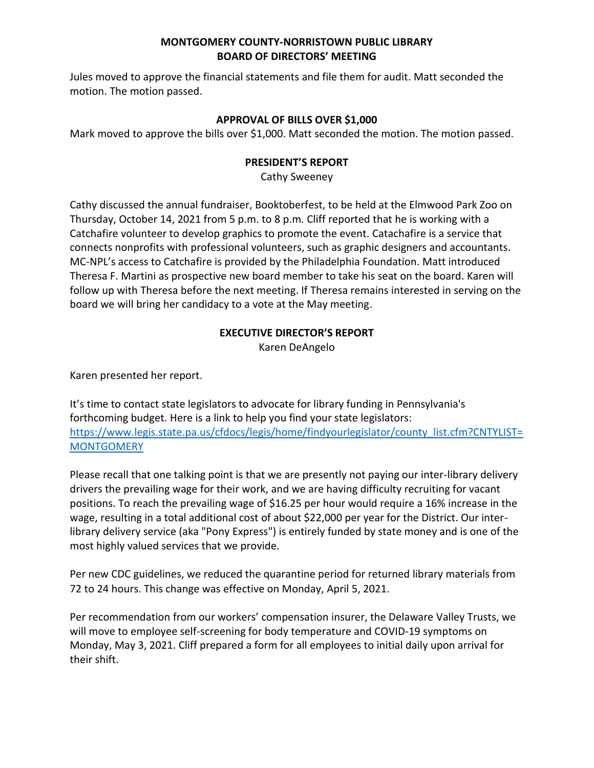Jules moved to approve the financial statements and file them for audit. Matt seconded the motion. The motion passed.

# **APPROVAL OF BILLS OVER \$1,000**

Mark moved to approve the bills over \$1,000. Matt seconded the motion. The motion passed.

#### **PRESIDENT'S REPORT**

Cathy Sweeney

Cathy discussed the annual fundraiser, Booktoberfest, to be held at the Elmwood Park Zoo on Thursday, October 14, 2021 from 5 p.m. to 8 p.m. Cliff reported that he is working with a Catchafire volunteer to develop graphics to promote the event. Catachafire is a service that connects nonprofits with professional volunteers, such as graphic designers and accountants. MC-NPL's access to Catchafire is provided by the Philadelphia Foundation. Matt introduced Theresa F. Martini as prospective new board member to take his seat on the board. Karen will follow up with Theresa before the next meeting. If Theresa remains interested in serving on the board we will bring her candidacy to a vote at the May meeting.

# **EXECUTIVE DIRECTOR'S REPORT**

Karen DeAngelo

Karen presented her report.

It's time to contact state legislators to advocate for library funding in Pennsylvania's forthcoming budget. Here is a link to help you find your state legislators: [https://www.legis.state.pa.us/cfdocs/legis/home/findyourlegislator/county\\_list.cfm?CNTYLIST=](https://www.legis.state.pa.us/cfdocs/legis/home/findyourlegislator/county_list.cfm?CNTYLIST=MONTGOMERY) **[MONTGOMERY](https://www.legis.state.pa.us/cfdocs/legis/home/findyourlegislator/county_list.cfm?CNTYLIST=MONTGOMERY)** 

Please recall that one talking point is that we are presently not paying our inter-library delivery drivers the prevailing wage for their work, and we are having difficulty recruiting for vacant positions. To reach the prevailing wage of \$16.25 per hour would require a 16% increase in the wage, resulting in a total additional cost of about \$22,000 per year for the District. Our interlibrary delivery service (aka "Pony Express") is entirely funded by state money and is one of the most highly valued services that we provide.

Per new CDC guidelines, we reduced the quarantine period for returned library materials from 72 to 24 hours. This change was effective on Monday, April 5, 2021.

Per recommendation from our workers' compensation insurer, the Delaware Valley Trusts, we will move to employee self-screening for body temperature and COVID-19 symptoms on Monday, May 3, 2021. Cliff prepared a form for all employees to initial daily upon arrival for their shift.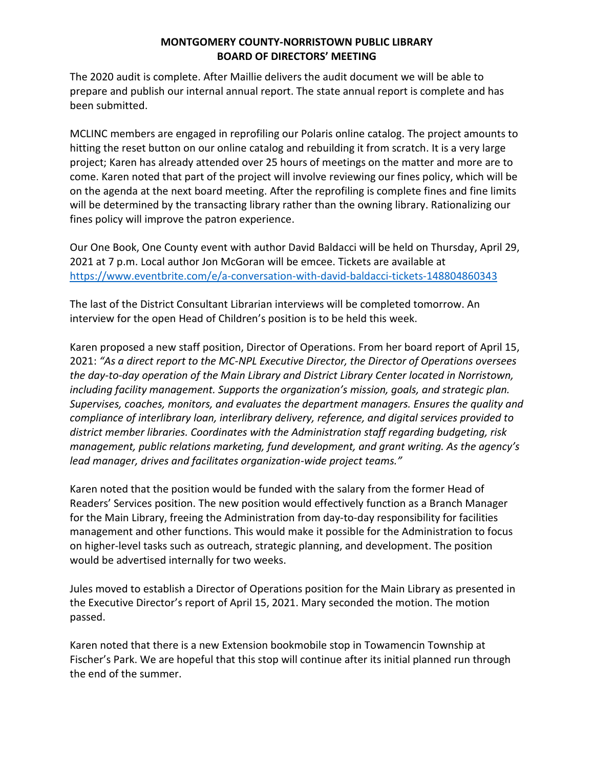The 2020 audit is complete. After Maillie delivers the audit document we will be able to prepare and publish our internal annual report. The state annual report is complete and has been submitted.

MCLINC members are engaged in reprofiling our Polaris online catalog. The project amounts to hitting the reset button on our online catalog and rebuilding it from scratch. It is a very large project; Karen has already attended over 25 hours of meetings on the matter and more are to come. Karen noted that part of the project will involve reviewing our fines policy, which will be on the agenda at the next board meeting. After the reprofiling is complete fines and fine limits will be determined by the transacting library rather than the owning library. Rationalizing our fines policy will improve the patron experience.

Our One Book, One County event with author David Baldacci will be held on Thursday, April 29, 2021 at 7 p.m. Local author Jon McGoran will be emcee. Tickets are available at <https://www.eventbrite.com/e/a-conversation-with-david-baldacci-tickets-148804860343>

The last of the District Consultant Librarian interviews will be completed tomorrow. An interview for the open Head of Children's position is to be held this week.

Karen proposed a new staff position, Director of Operations. From her board report of April 15, 2021: *"As a direct report to the MC-NPL Executive Director, the Director of Operations oversees the day-to-day operation of the Main Library and District Library Center located in Norristown, including facility management. Supports the organization's mission, goals, and strategic plan. Supervises, coaches, monitors, and evaluates the department managers. Ensures the quality and compliance of interlibrary loan, interlibrary delivery, reference, and digital services provided to district member libraries. Coordinates with the Administration staff regarding budgeting, risk management, public relations marketing, fund development, and grant writing. As the agency's lead manager, drives and facilitates organization-wide project teams."*

Karen noted that the position would be funded with the salary from the former Head of Readers' Services position. The new position would effectively function as a Branch Manager for the Main Library, freeing the Administration from day-to-day responsibility for facilities management and other functions. This would make it possible for the Administration to focus on higher-level tasks such as outreach, strategic planning, and development. The position would be advertised internally for two weeks.

Jules moved to establish a Director of Operations position for the Main Library as presented in the Executive Director's report of April 15, 2021. Mary seconded the motion. The motion passed.

Karen noted that there is a new Extension bookmobile stop in Towamencin Township at Fischer's Park. We are hopeful that this stop will continue after its initial planned run through the end of the summer.